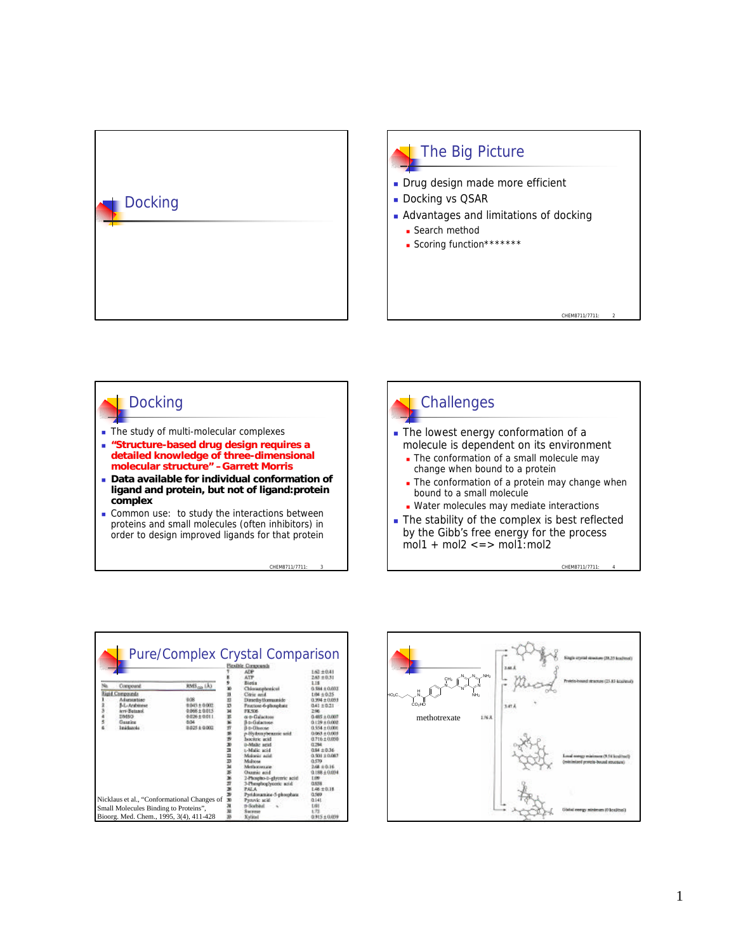

### The Big Picture

- Drug design made more efficient
- Docking vs QSAR
- **Advantages and limitations of docking** 
	- **n** Search method
	- **Scoring function**\*\*\*\*\*\*\*

## **Docking**

- $\blacksquare$  The study of multi-molecular complexes
- <sup>n</sup> **"Structure-based drug design requires a detailed knowledge of three-dimensional molecular structure" –Garrett Morris**
- <sup>n</sup> **Data available for individual conformation of ligand and protein, but not of ligand:protein complex**
- **Common use:** to study the interactions between proteins and small molecules (often inhibitors) in order to design improved ligands for that protein

CHEM8711/7711: 3

## **Challenges**

- The lowest energy conformation of a molecule is dependent on its environment
	- $\overline{\phantom{a}}$  The conformation of a small molecule may change when bound to a protein
	- The conformation of a protein may change when bound to a small molecule
	- **Nater molecules may mediate interactions**
- The stability of the complex is best reflected by the Gibb's free energy for the process  $mol1 + mol2 \leq z \leq mol1$ : mol2

CHEM8711/7711: 4

CHEM8711/7711

|                                             |                     | Pure/Complex Crystal Comparison<br>Picathle Coraponsch<br><b>ADP</b><br>ATP | $1.63 \pm 0.41$<br>$2.63 \pm 0.31$   | $N_{\text{max}}N_{\text{max}}N_{\text{H}_2}$<br>CH <sub>3</sub> | 2.46.8       | Gugla arvitad structure COL 15       |
|---------------------------------------------|---------------------|-----------------------------------------------------------------------------|--------------------------------------|-----------------------------------------------------------------|--------------|--------------------------------------|
| Compound                                    | $RMS_{100}$ (A)     | Biotis                                                                      | 1.18                                 |                                                                 |              | Protein-board structure (23.8)       |
| ligid Compounds                             |                     | Chloramphrescul<br>Citric and                                               | $0.584 \pm 0.033$<br>$1.04 \pm 0.35$ | ŃΗ <sub>2</sub>                                                 |              |                                      |
| Adamstehten                                 | 808                 | Diractly formanide                                                          | $0.994 \pm 0.033$                    |                                                                 |              |                                      |
| <b>MArabinese</b>                           | 6503+0003           | Fitztose-6-phosphate                                                        | $0.41 \pm 0.21$                      | CO <sub>2</sub> HO                                              | <b>Lat A</b> |                                      |
| ters-Butanol.                               | 0.068±0.015         | <b>FK SOS</b>                                                               | 2.96                                 |                                                                 |              |                                      |
| <b>DMSD</b><br>Guarios                      | 奈定26 ± 0.011<br>804 | di-tr-Galactess<br><b>B. D. Galactone</b>                                   | $0.485 + 0.007$<br>0.129.4.0.002     | 136A<br>methotrexate                                            |              |                                      |
| Imédanola                                   | 0.025 ± 0.002       | <b>J-D-Ulsecae</b>                                                          | $0.554 + 0.000$                      |                                                                 |              |                                      |
|                                             |                     | p-Hydroxybeazoic seid.                                                      | $0.063 \pm 0.003$                    |                                                                 |              |                                      |
|                                             |                     | bocitric acid                                                               | $0.716 \pm 0.030$                    |                                                                 |              |                                      |
|                                             |                     | <b>0-Malic</b> acid                                                         | 0.294                                |                                                                 |              |                                      |
|                                             |                     | t-Malic acid<br>Malonic acid                                                | $0.94 \pm 0.36$<br>$0.901 \pm 0.087$ |                                                                 |              | Longl energy misings or (9.16).      |
|                                             |                     | <b>Malane</b>                                                               | 0.579                                |                                                                 |              | <b>Ontainized protein-bound appa</b> |
|                                             |                     | Methoristane                                                                | 2.68 ± 0.16                          |                                                                 |              |                                      |
|                                             |                     | <b>Chamber acid</b>                                                         | $0.188 \pm 0.034$                    |                                                                 |              |                                      |
|                                             |                     | 2-Phospho-b-glyceric acid.                                                  | 1.09                                 |                                                                 |              |                                      |
|                                             |                     | 3-Phosphoglyceric acid                                                      | 0.8%                                 |                                                                 |              |                                      |
|                                             |                     | PALA.<br>Pyridoxamine-5-phosphate                                           | $1.46 \pm 0.18$<br>0.569             |                                                                 |              |                                      |
| Nicklaus et al., "Conformational Changes of |                     | Protect acid                                                                | 0.141                                |                                                                 |              |                                      |
|                                             |                     | n-Sockiad                                                                   | t.a)                                 |                                                                 |              |                                      |
| Small Molecules Binding to Proteins",       |                     | Electrician                                                                 | 1.73                                 |                                                                 |              | ilaliai reorgy minimum 10 km         |
| Bioorg. Med. Chem., 1995, 3(4), 411-428     |                     | <b>Xylical</b>                                                              | $0.915 \pm 0.039$                    |                                                                 |              |                                      |

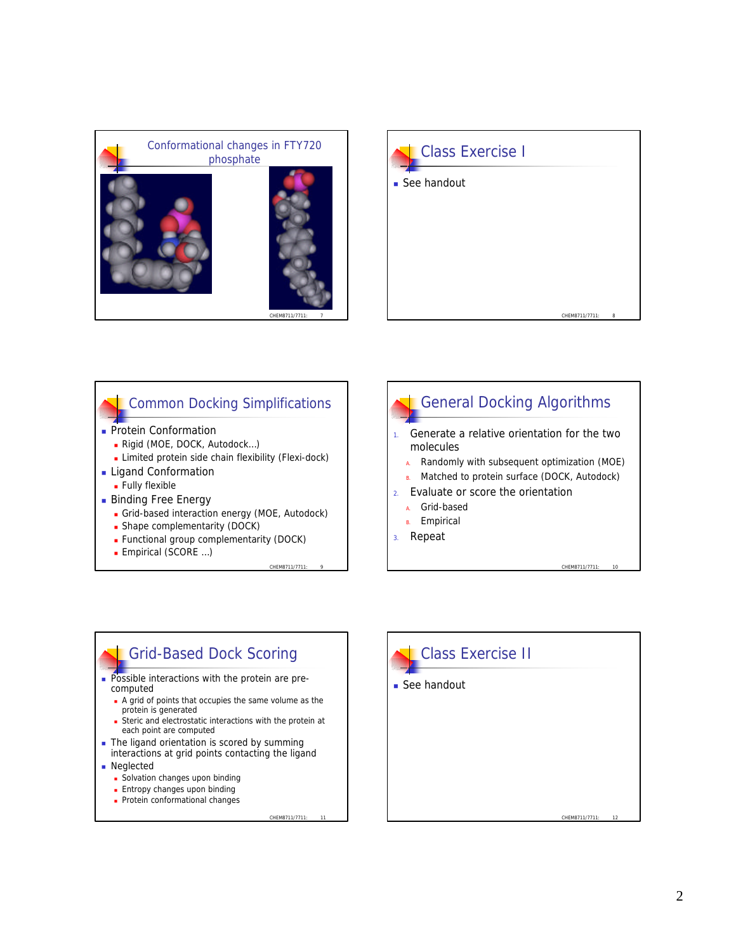



#### Common Docking Simplifications

- **Protein Conformation** 
	- Rigid (MOE, DOCK, Autodock...)
	- **E** Limited protein side chain flexibility (Flexi-dock)
- **Ligand Conformation** 
	- **Fully flexible**
- **Binding Free Energy** 
	- **Grid-based interaction energy (MOE, Autodock)**

CHEM8711/7711: 9

CHEM8711/7711: 11

- Shape complementarity (DOCK)
- **Functional group complementarity (DOCK)**
- **Empirical (SCORE ...)**



# Grid-Based Dock Scoring

- **Possible interactions with the protein are pre**computed
	- <sup>n</sup> A grid of points that occupies the same volume as the protein is generated
	- <sup>n</sup> Steric and electrostatic interactions with the protein at each point are computed
- $\blacksquare$  The ligand orientation is scored by summing interactions at grid points contacting the ligand
- **n** Neglected
	- **n** Solvation changes upon binding
	- **Entropy changes upon binding**
	- Protein conformational changes